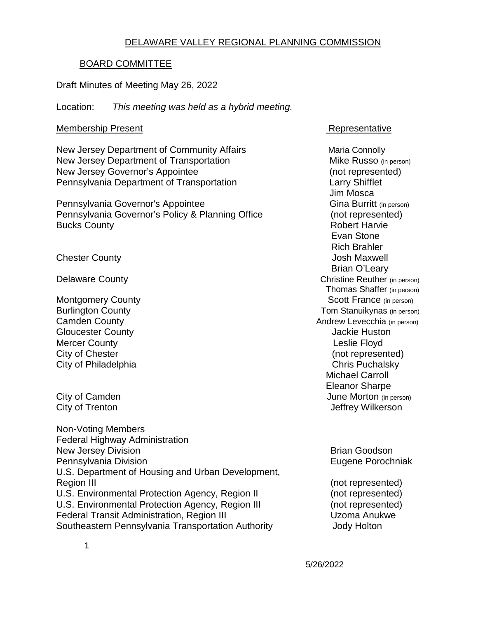### DELAWARE VALLEY REGIONAL PLANNING COMMISSION

#### BOARD COMMITTEE

Draft Minutes of Meeting May 26, 2022

Location: *This meeting was held as a hybrid meeting.*

#### Membership Present **Representative**

New Jersey Department of Community Affairs Maria Connolly New Jersey Department of Transportation Mike Russo (in person) New Jersey Governor's Appointee (not represented) Pennsylvania Department of Transportation Larry Shifflet

Pennsylvania Governor's Appointee Pennsylvania Governor's Policy & Planning Office (not represented) Bucks County **Bucks** County **Robert Harvie Robert Harvie** 

**Chester County** Chester County **Chester County Josh Maxwell** 

**Gloucester County Gloucester County Jackie Huston** Mercer County **County County County County County County County County County County County County County County County County County County County County County County County** City of Chester (not represented)<br>City of Philadelphia (not represented)<br>Chris Puchalsky City of Philadelphia

Non-Voting Members Federal Highway Administration New Jersey Division **Brian Goodson** Brian Goodson Pennsylvania Division **Eugene Porochniak** U.S. Department of Housing and Urban Development, Region III (not represented) and the set of the set of the set of the set of the set of the set of the set of the set of the set of the set of the set of the set of the set of the set of the set of the set of the set of th U.S. Environmental Protection Agency, Region II (not represented) U.S. Environmental Protection Agency, Region III (not represented)<br>
Federal Transit Administration. Region III (Uzoma Anukwe Federal Transit Administration, Region III Southeastern Pennsylvania Transportation Authority **Southeastern Pennsylvania Transportation** Authority

**Jim Mosca<br>Gina Burritt** (in person) Evan Stone Rich Brahler Brian O'Leary Delaware County **Christian County** Christine Reuther (in person) Thomas Shaffer (in person) Montgomery County<br>
Burlington County<br>
Burlington County<br>
Scott France (in person)<br>
Tom Stanuikynas (in person) Tom Stanuikynas (in person) Camden County **Cambridge County Cambridge Cambridge Cambridge Cambridge Cambridge Cambridge Cambridge Cambridge Cambridge Cambridge Cambridge Cambridge Cambridge Cambridge Cambridge Cambridge Cambridge Cambridge Cambridg** Michael Carroll Eleanor Sharpe City of Camden June Morton (in person) City of Trenton **City of Trenton** Jeffrey Wilkerson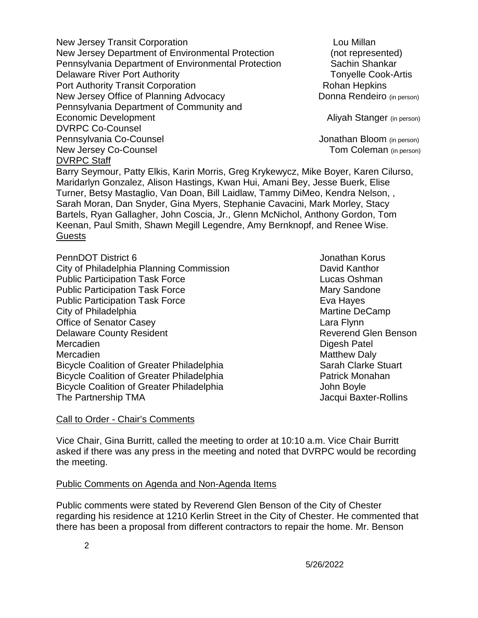New Jersey Transit Corporation **Louis Communisty** Lou Millan New Jersey Department of Environmental Protection (not represented) Pennsylvania Department of Environmental Protection Sachin Shankar Delaware River Port Authority **Tonyelle Cook-Artis Tonyelle Cook-Artis** Port Authority Transit Corporation<br>
New Jersey Office of Planning Advocacy<br>
Donna Rendeiro (in person) New Jersey Office of Planning Advocacy Pennsylvania Department of Community and Economic Development **Aliyah Stanger** (in person) DVRPC Co-Counsel Pennsylvania Co-Counsel Jonathan Bloom (in person) New Jersey Co-Counsel **New Jersey Co-Counsel Tom Coleman** (in person) DVRPC Staff

Barry Seymour, Patty Elkis, Karin Morris, Greg Krykewycz, Mike Boyer, Karen Cilurso, Maridarlyn Gonzalez, Alison Hastings, Kwan Hui, Amani Bey, Jesse Buerk, Elise Turner, Betsy Mastaglio, Van Doan, Bill Laidlaw, Tammy DiMeo, Kendra Nelson, , Sarah Moran, Dan Snyder, Gina Myers, Stephanie Cavacini, Mark Morley, Stacy Bartels, Ryan Gallagher, John Coscia, Jr., Glenn McNichol, Anthony Gordon, Tom Keenan, Paul Smith, Shawn Megill Legendre, Amy Bernknopf, and Renee Wise. **Guests** 

PennDOT District 6 **Jonathan Korus Jonathan Korus** City of Philadelphia Planning Commission David Kanthor Public Participation Task Force Lucas Oshman Public Participation Task Force Mary Sandone Public Participation Task Force **Eva Hayes** Eva Hayes City of Philadelphia Martine DeCamp Office of Senator Casey **Lara Flynn** Delaware County Resident Network County Reverend Glen Benson Mercadien **Digesh Patel** Mercadien **Matthew Daly** Matthew Daly Bicycle Coalition of Greater Philadelphia Sarah Clarke Stuart Bicycle Coalition of Greater Philadelphia **Patrick Monahan** Bicycle Coalition of Greater Philadelphia **State Accord Footon** John Boyle The Partnership TMA **Jacqui Baxter-Rollins** Jacqui Baxter-Rollins

#### Call to Order - Chair's Comments

Vice Chair, Gina Burritt, called the meeting to order at 10:10 a.m. Vice Chair Burritt asked if there was any press in the meeting and noted that DVRPC would be recording the meeting.

#### Public Comments on Agenda and Non-Agenda Items

Public comments were stated by Reverend Glen Benson of the City of Chester regarding his residence at 1210 Kerlin Street in the City of Chester. He commented that there has been a proposal from different contractors to repair the home. Mr. Benson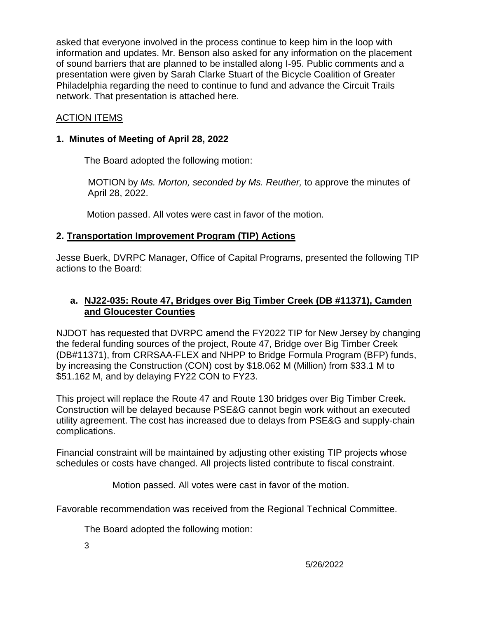asked that everyone involved in the process continue to keep him in the loop with information and updates. Mr. Benson also asked for any information on the placement of sound barriers that are planned to be installed along I-95. Public comments and a presentation were given by Sarah Clarke Stuart of the Bicycle Coalition of Greater Philadelphia regarding the need to continue to fund and advance the Circuit Trails network. That presentation is attached here.

## ACTION ITEMS

#### **1. Minutes of Meeting of April 28, 2022**

The Board adopted the following motion:

 MOTION by *Ms. Morton, seconded by Ms. Reuther,* to approve the minutes of April 28, 2022.

Motion passed. All votes were cast in favor of the motion.

## **2. Transportation Improvement Program (TIP) Actions**

Jesse Buerk, DVRPC Manager, Office of Capital Programs, presented the following TIP actions to the Board:

### **a. NJ22-035: Route 47, Bridges over Big Timber Creek (DB #11371), Camden and Gloucester Counties**

NJDOT has requested that DVRPC amend the FY2022 TIP for New Jersey by changing the federal funding sources of the project, Route 47, Bridge over Big Timber Creek (DB#11371), from CRRSAA-FLEX and NHPP to Bridge Formula Program (BFP) funds, by increasing the Construction (CON) cost by \$18.062 M (Million) from \$33.1 M to \$51.162 M, and by delaying FY22 CON to FY23.

This project will replace the Route 47 and Route 130 bridges over Big Timber Creek. Construction will be delayed because PSE&G cannot begin work without an executed utility agreement. The cost has increased due to delays from PSE&G and supply-chain complications.

Financial constraint will be maintained by adjusting other existing TIP projects whose schedules or costs have changed. All projects listed contribute to fiscal constraint.

Motion passed. All votes were cast in favor of the motion.

Favorable recommendation was received from the Regional Technical Committee.

The Board adopted the following motion:

3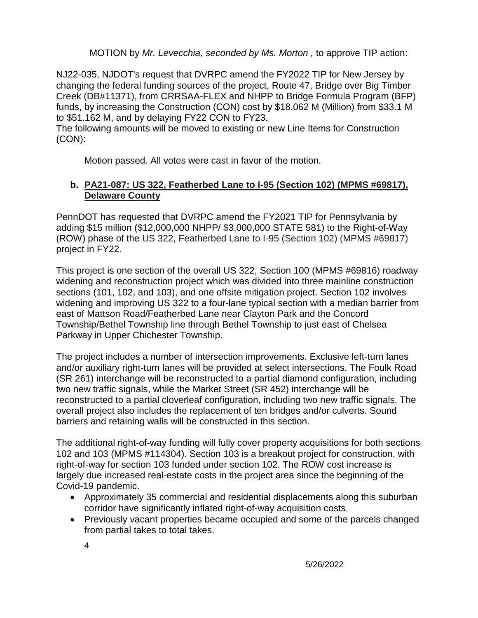MOTION by *Mr. Levecchia, seconded by Ms. Morton ,* to approve TIP action:

NJ22-035, NJDOT's request that DVRPC amend the FY2022 TIP for New Jersey by changing the federal funding sources of the project, Route 47, Bridge over Big Timber Creek (DB#11371), from CRRSAA-FLEX and NHPP to Bridge Formula Program (BFP) funds, by increasing the Construction (CON) cost by \$18.062 M (Million) from \$33.1 M to \$51.162 M, and by delaying FY22 CON to FY23.

The following amounts will be moved to existing or new Line Items for Construction (CON):

Motion passed. All votes were cast in favor of the motion.

## **b. PA21-087: US 322, Featherbed Lane to I-95 (Section 102) (MPMS #69817), Delaware County**

PennDOT has requested that DVRPC amend the FY2021 TIP for Pennsylvania by adding \$15 million (\$12,000,000 NHPP/ \$3,000,000 STATE 581) to the Right-of-Way (ROW) phase of the US 322, Featherbed Lane to I-95 (Section 102) (MPMS #69817) project in FY22.

This project is one section of the overall US 322, Section 100 (MPMS #69816) roadway widening and reconstruction project which was divided into three mainline construction sections (101, 102, and 103), and one offsite mitigation project. Section 102 involves widening and improving US 322 to a four-lane typical section with a median barrier from east of Mattson Road/Featherbed Lane near Clayton Park and the Concord Township/Bethel Township line through Bethel Township to just east of Chelsea Parkway in Upper Chichester Township.

The project includes a number of intersection improvements. Exclusive left-turn lanes and/or auxiliary right-turn lanes will be provided at select intersections. The Foulk Road (SR 261) interchange will be reconstructed to a partial diamond configuration, including two new traffic signals, while the Market Street (SR 452) interchange will be reconstructed to a partial cloverleaf configuration, including two new traffic signals. The overall project also includes the replacement of ten bridges and/or culverts. Sound barriers and retaining walls will be constructed in this section.

The additional right-of-way funding will fully cover property acquisitions for both sections 102 and 103 (MPMS #114304). Section 103 is a breakout project for construction, with right-of-way for section 103 funded under section 102. The ROW cost increase is largely due increased real-estate costs in the project area since the beginning of the Covid-19 pandemic.

- Approximately 35 commercial and residential displacements along this suburban corridor have significantly inflated right-of-way acquisition costs.
- Previously vacant properties became occupied and some of the parcels changed from partial takes to total takes.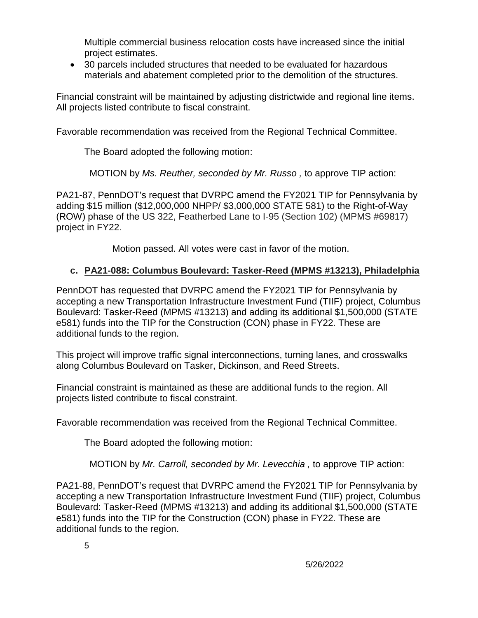Multiple commercial business relocation costs have increased since the initial project estimates.

• 30 parcels included structures that needed to be evaluated for hazardous materials and abatement completed prior to the demolition of the structures.

Financial constraint will be maintained by adjusting districtwide and regional line items. All projects listed contribute to fiscal constraint.

Favorable recommendation was received from the Regional Technical Committee.

The Board adopted the following motion:

MOTION by *Ms. Reuther, seconded by Mr. Russo ,* to approve TIP action:

PA21-87, PennDOT's request that DVRPC amend the FY2021 TIP for Pennsylvania by adding \$15 million (\$12,000,000 NHPP/ \$3,000,000 STATE 581) to the Right-of-Way (ROW) phase of the US 322, Featherbed Lane to I-95 (Section 102) (MPMS #69817) project in FY22.

Motion passed. All votes were cast in favor of the motion.

## **c. PA21-088: Columbus Boulevard: Tasker-Reed (MPMS #13213), Philadelphia**

PennDOT has requested that DVRPC amend the FY2021 TIP for Pennsylvania by accepting a new Transportation Infrastructure Investment Fund (TIIF) project, Columbus Boulevard: Tasker-Reed (MPMS #13213) and adding its additional \$1,500,000 (STATE e581) funds into the TIP for the Construction (CON) phase in FY22. These are additional funds to the region.

This project will improve traffic signal interconnections, turning lanes, and crosswalks along Columbus Boulevard on Tasker, Dickinson, and Reed Streets.

Financial constraint is maintained as these are additional funds to the region. All projects listed contribute to fiscal constraint.

Favorable recommendation was received from the Regional Technical Committee.

The Board adopted the following motion:

MOTION by *Mr. Carroll, seconded by Mr. Levecchia ,* to approve TIP action:

PA21-88, PennDOT's request that DVRPC amend the FY2021 TIP for Pennsylvania by accepting a new Transportation Infrastructure Investment Fund (TIIF) project, Columbus Boulevard: Tasker-Reed (MPMS #13213) and adding its additional \$1,500,000 (STATE e581) funds into the TIP for the Construction (CON) phase in FY22. These are additional funds to the region.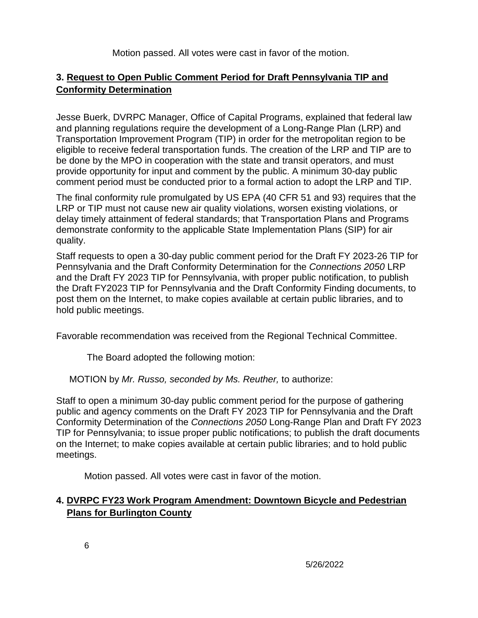Motion passed. All votes were cast in favor of the motion.

## **3. Request to Open Public Comment Period for Draft Pennsylvania TIP and Conformity Determination**

Jesse Buerk, DVRPC Manager, Office of Capital Programs, explained that federal law and planning regulations require the development of a Long-Range Plan (LRP) and Transportation Improvement Program (TIP) in order for the metropolitan region to be eligible to receive federal transportation funds. The creation of the LRP and TIP are to be done by the MPO in cooperation with the state and transit operators, and must provide opportunity for input and comment by the public. A minimum 30-day public comment period must be conducted prior to a formal action to adopt the LRP and TIP.

The final conformity rule promulgated by US EPA (40 CFR 51 and 93) requires that the LRP or TIP must not cause new air quality violations, worsen existing violations, or delay timely attainment of federal standards; that Transportation Plans and Programs demonstrate conformity to the applicable State Implementation Plans (SIP) for air quality.

Staff requests to open a 30-day public comment period for the Draft FY 2023-26 TIP for Pennsylvania and the Draft Conformity Determination for the *Connections 2050* LRP and the Draft FY 2023 TIP for Pennsylvania, with proper public notification, to publish the Draft FY2023 TIP for Pennsylvania and the Draft Conformity Finding documents, to post them on the Internet, to make copies available at certain public libraries, and to hold public meetings.

Favorable recommendation was received from the Regional Technical Committee.

The Board adopted the following motion:

MOTION by *Mr. Russo, seconded by Ms. Reuther,* to authorize:

Staff to open a minimum 30-day public comment period for the purpose of gathering public and agency comments on the Draft FY 2023 TIP for Pennsylvania and the Draft Conformity Determination of the *Connections 2050* Long-Range Plan and Draft FY 2023 TIP for Pennsylvania; to issue proper public notifications; to publish the draft documents on the Internet; to make copies available at certain public libraries; and to hold public meetings.

Motion passed. All votes were cast in favor of the motion.

# **4. DVRPC FY23 Work Program Amendment: Downtown Bicycle and Pedestrian Plans for Burlington County**

6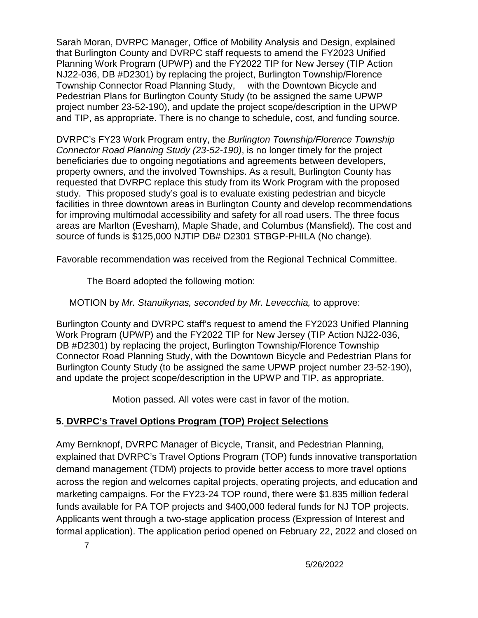Sarah Moran, DVRPC Manager, Office of Mobility Analysis and Design, explained that Burlington County and DVRPC staff requests to amend the FY2023 Unified Planning Work Program (UPWP) and the FY2022 TIP for New Jersey (TIP Action NJ22-036, DB #D2301) by replacing the project, Burlington Township/Florence Township Connector Road Planning Study, with the Downtown Bicycle and Pedestrian Plans for Burlington County Study (to be assigned the same UPWP project number 23-52-190), and update the project scope/description in the UPWP and TIP, as appropriate. There is no change to schedule, cost, and funding source.

DVRPC's FY23 Work Program entry, the *Burlington Township/Florence Township Connector Road Planning Study (23-52-190)*, is no longer timely for the project beneficiaries due to ongoing negotiations and agreements between developers, property owners, and the involved Townships. As a result, Burlington County has requested that DVRPC replace this study from its Work Program with the proposed study. This proposed study's goal is to evaluate existing pedestrian and bicycle facilities in three downtown areas in Burlington County and develop recommendations for improving multimodal accessibility and safety for all road users. The three focus areas are Marlton (Evesham), Maple Shade, and Columbus (Mansfield). The cost and source of funds is \$125,000 NJTIP DB# D2301 STBGP-PHILA (No change).

Favorable recommendation was received from the Regional Technical Committee.

The Board adopted the following motion:

## MOTION by *Mr. Stanuikynas, seconded by Mr. Levecchia,* to approve:

Burlington County and DVRPC staff's request to amend the FY2023 Unified Planning Work Program (UPWP) and the FY2022 TIP for New Jersey (TIP Action NJ22-036, DB #D2301) by replacing the project, Burlington Township/Florence Township Connector Road Planning Study, with the Downtown Bicycle and Pedestrian Plans for Burlington County Study (to be assigned the same UPWP project number 23-52-190), and update the project scope/description in the UPWP and TIP, as appropriate.

Motion passed. All votes were cast in favor of the motion.

# **5. DVRPC's Travel Options Program (TOP) Project Selections**

Amy Bernknopf, DVRPC Manager of Bicycle, Transit, and Pedestrian Planning, explained that DVRPC's Travel Options Program (TOP) funds innovative transportation demand management (TDM) projects to provide better access to more travel options across the region and welcomes capital projects, operating projects, and education and marketing campaigns. For the FY23-24 TOP round, there were \$1.835 million federal funds available for PA TOP projects and \$400,000 federal funds for NJ TOP projects. Applicants went through a two-stage application process (Expression of Interest and formal application). The application period opened on February 22, 2022 and closed on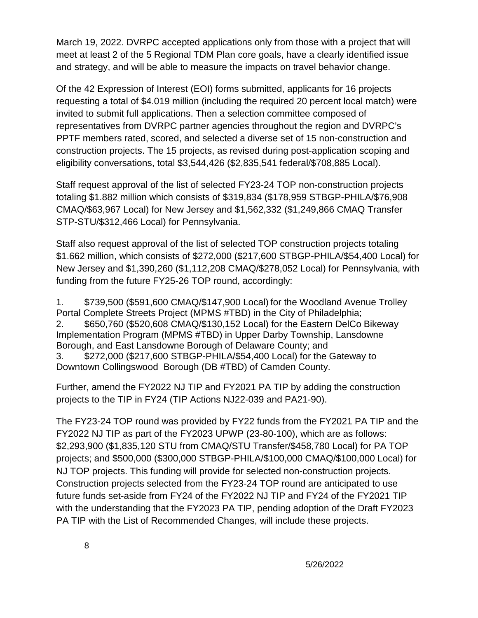March 19, 2022. DVRPC accepted applications only from those with a project that will meet at least 2 of the 5 Regional TDM Plan core goals, have a clearly identified issue and strategy, and will be able to measure the impacts on travel behavior change.

Of the 42 Expression of Interest (EOI) forms submitted, applicants for 16 projects requesting a total of \$4.019 million (including the required 20 percent local match) were invited to submit full applications. Then a selection committee composed of representatives from DVRPC partner agencies throughout the region and DVRPC's PPTF members rated, scored, and selected a diverse set of 15 non-construction and construction projects. The 15 projects, as revised during post-application scoping and eligibility conversations, total \$3,544,426 (\$2,835,541 federal/\$708,885 Local).

Staff request approval of the list of selected FY23-24 TOP non-construction projects totaling \$1.882 million which consists of \$319,834 (\$178,959 STBGP-PHILA/\$76,908 CMAQ/\$63,967 Local) for New Jersey and \$1,562,332 (\$1,249,866 CMAQ Transfer STP-STU/\$312,466 Local) for Pennsylvania.

Staff also request approval of the list of selected TOP construction projects totaling \$1.662 million, which consists of \$272,000 (\$217,600 STBGP-PHILA/\$54,400 Local) for New Jersey and \$1,390,260 (\$1,112,208 CMAQ/\$278,052 Local) for Pennsylvania, with funding from the future FY25-26 TOP round, accordingly:

1. \$739,500 (\$591,600 CMAQ/\$147,900 Local) for the Woodland Avenue Trolley Portal Complete Streets Project (MPMS #TBD) in the City of Philadelphia; 2. \$650,760 (\$520,608 CMAQ/\$130,152 Local) for the Eastern DelCo Bikeway Implementation Program (MPMS #TBD) in Upper Darby Township, Lansdowne Borough, and East Lansdowne Borough of Delaware County; and 3. \$272,000 (\$217,600 STBGP-PHILA/\$54,400 Local) for the Gateway to

Downtown Collingswood Borough (DB #TBD) of Camden County.

Further, amend the FY2022 NJ TIP and FY2021 PA TIP by adding the construction projects to the TIP in FY24 (TIP Actions NJ22-039 and PA21-90).

The FY23-24 TOP round was provided by FY22 funds from the FY2021 PA TIP and the FY2022 NJ TIP as part of the FY2023 UPWP (23-80-100), which are as follows: \$2,293,900 (\$1,835,120 STU from CMAQ/STU Transfer/\$458,780 Local) for PA TOP projects; and \$500,000 (\$300,000 STBGP-PHILA/\$100,000 CMAQ/\$100,000 Local) for NJ TOP projects. This funding will provide for selected non-construction projects. Construction projects selected from the FY23-24 TOP round are anticipated to use future funds set-aside from FY24 of the FY2022 NJ TIP and FY24 of the FY2021 TIP with the understanding that the FY2023 PA TIP, pending adoption of the Draft FY2023 PA TIP with the List of Recommended Changes, will include these projects.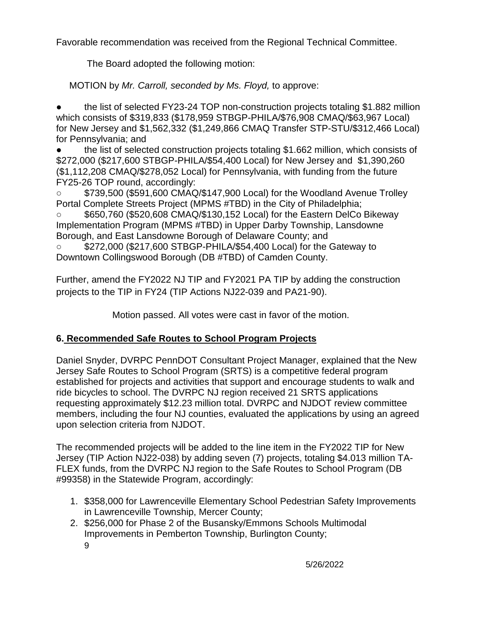Favorable recommendation was received from the Regional Technical Committee.

The Board adopted the following motion:

MOTION by *Mr. Carroll, seconded by Ms. Floyd,* to approve:

● the list of selected FY23-24 TOP non-construction projects totaling \$1.882 million which consists of \$319,833 (\$178,959 STBGP-PHILA/\$76,908 CMAQ/\$63,967 Local) for New Jersey and \$1,562,332 (\$1,249,866 CMAQ Transfer STP-STU/\$312,466 Local) for Pennsylvania; and

the list of selected construction projects totaling \$1.662 million, which consists of \$272,000 (\$217,600 STBGP-PHILA/\$54,400 Local) for New Jersey and \$1,390,260 (\$1,112,208 CMAQ/\$278,052 Local) for Pennsylvania, with funding from the future FY25-26 TOP round, accordingly:

\$739,500 (\$591,600 CMAQ/\$147,900 Local) for the Woodland Avenue Trolley Portal Complete Streets Project (MPMS #TBD) in the City of Philadelphia;

○ \$650,760 (\$520,608 CMAQ/\$130,152 Local) for the Eastern DelCo Bikeway Implementation Program (MPMS #TBD) in Upper Darby Township, Lansdowne Borough, and East Lansdowne Borough of Delaware County; and

\$272,000 (\$217,600 STBGP-PHILA/\$54,400 Local) for the Gateway to Downtown Collingswood Borough (DB #TBD) of Camden County.

Further, amend the FY2022 NJ TIP and FY2021 PA TIP by adding the construction projects to the TIP in FY24 (TIP Actions NJ22-039 and PA21-90).

Motion passed. All votes were cast in favor of the motion.

# **6. Recommended Safe Routes to School Program Projects**

Daniel Snyder, DVRPC PennDOT Consultant Project Manager, explained that the New Jersey Safe Routes to School Program (SRTS) is a competitive federal program established for projects and activities that support and encourage students to walk and ride bicycles to school. The DVRPC NJ region received 21 SRTS applications requesting approximately \$12.23 million total. DVRPC and NJDOT review committee members, including the four NJ counties, evaluated the applications by using an agreed upon selection criteria from NJDOT.

The recommended projects will be added to the line item in the FY2022 TIP for New Jersey (TIP Action NJ22-038) by adding seven (7) projects, totaling \$4.013 million TA-FLEX funds, from the DVRPC NJ region to the Safe Routes to School Program (DB #99358) in the Statewide Program, accordingly:

- 1. \$358,000 for Lawrenceville Elementary School Pedestrian Safety Improvements in Lawrenceville Township, Mercer County;
- 2. \$256,000 for Phase 2 of the Busansky/Emmons Schools Multimodal Improvements in Pemberton Township, Burlington County;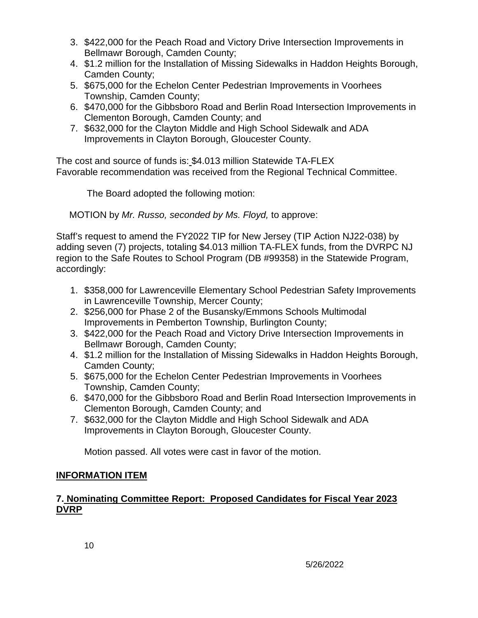- 3. \$422,000 for the Peach Road and Victory Drive Intersection Improvements in Bellmawr Borough, Camden County;
- 4. \$1.2 million for the Installation of Missing Sidewalks in Haddon Heights Borough, Camden County;
- 5. \$675,000 for the Echelon Center Pedestrian Improvements in Voorhees Township, Camden County;
- 6. \$470,000 for the Gibbsboro Road and Berlin Road Intersection Improvements in Clementon Borough, Camden County; and
- 7. \$632,000 for the Clayton Middle and High School Sidewalk and ADA Improvements in Clayton Borough, Gloucester County.

The cost and source of funds is: \$4.013 million Statewide TA-FLEX Favorable recommendation was received from the Regional Technical Committee.

The Board adopted the following motion:

MOTION by *Mr. Russo, seconded by Ms. Floyd,* to approve:

Staff's request to amend the FY2022 TIP for New Jersey (TIP Action NJ22-038) by adding seven (7) projects, totaling \$4.013 million TA-FLEX funds, from the DVRPC NJ region to the Safe Routes to School Program (DB #99358) in the Statewide Program, accordingly:

- 1. \$358,000 for Lawrenceville Elementary School Pedestrian Safety Improvements in Lawrenceville Township, Mercer County;
- 2. \$256,000 for Phase 2 of the Busansky/Emmons Schools Multimodal Improvements in Pemberton Township, Burlington County;
- 3. \$422,000 for the Peach Road and Victory Drive Intersection Improvements in Bellmawr Borough, Camden County;
- 4. \$1.2 million for the Installation of Missing Sidewalks in Haddon Heights Borough, Camden County;
- 5. \$675,000 for the Echelon Center Pedestrian Improvements in Voorhees Township, Camden County;
- 6. \$470,000 for the Gibbsboro Road and Berlin Road Intersection Improvements in Clementon Borough, Camden County; and
- 7. \$632,000 for the Clayton Middle and High School Sidewalk and ADA Improvements in Clayton Borough, Gloucester County.

Motion passed. All votes were cast in favor of the motion.

## **INFORMATION ITEM**

## **7. Nominating Committee Report: Proposed Candidates for Fiscal Year 2023 DVRP**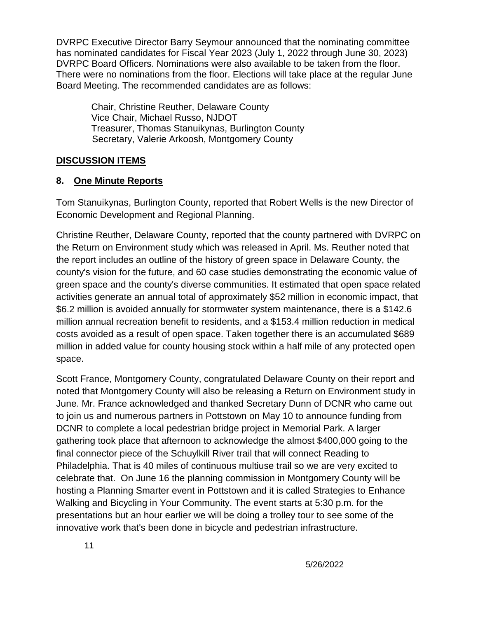DVRPC Executive Director Barry Seymour announced that the nominating committee has nominated candidates for Fiscal Year 2023 (July 1, 2022 through June 30, 2023) DVRPC Board Officers. Nominations were also available to be taken from the floor. There were no nominations from the floor. Elections will take place at the regular June Board Meeting. The recommended candidates are as follows:

Chair, Christine Reuther, Delaware County Vice Chair, Michael Russo, NJDOT Treasurer, Thomas Stanuikynas, Burlington County Secretary, Valerie Arkoosh, Montgomery County

## **DISCUSSION ITEMS**

## **8. One Minute Reports**

Tom Stanuikynas, Burlington County, reported that Robert Wells is the new Director of Economic Development and Regional Planning.

Christine Reuther, Delaware County, reported that the county partnered with DVRPC on the Return on Environment study which was released in April. Ms. Reuther noted that the report includes an outline of the history of green space in Delaware County, the county's vision for the future, and 60 case studies demonstrating the economic value of green space and the county's diverse communities. It estimated that open space related activities generate an annual total of approximately \$52 million in economic impact, that \$6.2 million is avoided annually for stormwater system maintenance, there is a \$142.6 million annual recreation benefit to residents, and a \$153.4 million reduction in medical costs avoided as a result of open space. Taken together there is an accumulated \$689 million in added value for county housing stock within a half mile of any protected open space.

Scott France, Montgomery County, congratulated Delaware County on their report and noted that Montgomery County will also be releasing a Return on Environment study in June. Mr. France acknowledged and thanked Secretary Dunn of DCNR who came out to join us and numerous partners in Pottstown on May 10 to announce funding from DCNR to complete a local pedestrian bridge project in Memorial Park. A larger gathering took place that afternoon to acknowledge the almost \$400,000 going to the final connector piece of the Schuylkill River trail that will connect Reading to Philadelphia. That is 40 miles of continuous multiuse trail so we are very excited to celebrate that. On June 16 the planning commission in Montgomery County will be hosting a Planning Smarter event in Pottstown and it is called Strategies to Enhance Walking and Bicycling in Your Community. The event starts at 5:30 p.m. for the presentations but an hour earlier we will be doing a trolley tour to see some of the innovative work that's been done in bicycle and pedestrian infrastructure.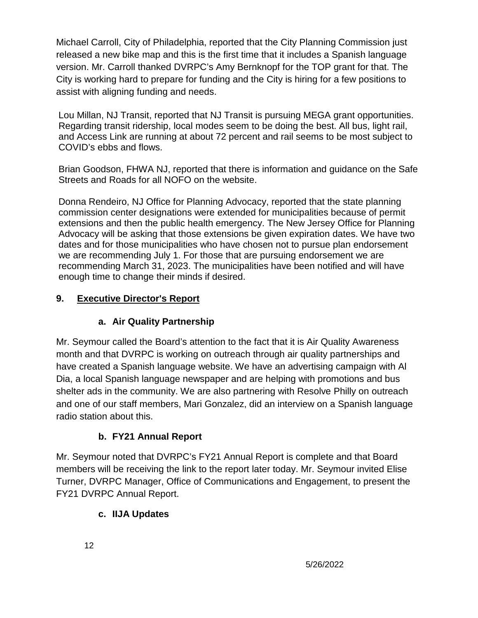Michael Carroll, City of Philadelphia, reported that the City Planning Commission just released a new bike map and this is the first time that it includes a Spanish language version. Mr. Carroll thanked DVRPC's Amy Bernknopf for the TOP grant for that. The City is working hard to prepare for funding and the City is hiring for a few positions to assist with aligning funding and needs.

Lou Millan, NJ Transit, reported that NJ Transit is pursuing MEGA grant opportunities. Regarding transit ridership, local modes seem to be doing the best. All bus, light rail, and Access Link are running at about 72 percent and rail seems to be most subject to COVID's ebbs and flows.

Brian Goodson, FHWA NJ, reported that there is information and guidance on the Safe Streets and Roads for all NOFO on the website.

Donna Rendeiro, NJ Office for Planning Advocacy, reported that the state planning commission center designations were extended for municipalities because of permit extensions and then the public health emergency. The New Jersey Office for Planning Advocacy will be asking that those extensions be given expiration dates. We have two dates and for those municipalities who have chosen not to pursue plan endorsement we are recommending July 1. For those that are pursuing endorsement we are recommending March 31, 2023. The municipalities have been notified and will have enough time to change their minds if desired.

# **9. Executive Director's Report**

# **a. Air Quality Partnership**

Mr. Seymour called the Board's attention to the fact that it is Air Quality Awareness month and that DVRPC is working on outreach through air quality partnerships and have created a Spanish language website. We have an advertising campaign with Al Dia, a local Spanish language newspaper and are helping with promotions and bus shelter ads in the community. We are also partnering with Resolve Philly on outreach and one of our staff members, Mari Gonzalez, did an interview on a Spanish language radio station about this.

# **b. FY21 Annual Report**

Mr. Seymour noted that DVRPC's FY21 Annual Report is complete and that Board members will be receiving the link to the report later today. Mr. Seymour invited Elise Turner, DVRPC Manager, Office of Communications and Engagement, to present the FY21 DVRPC Annual Report.

# **c. IIJA Updates**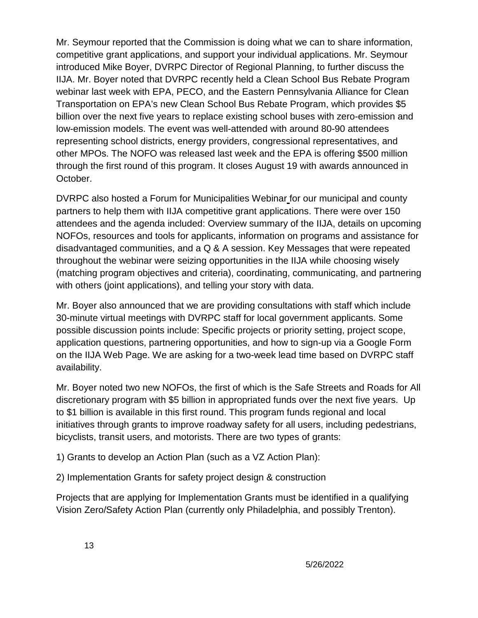Mr. Seymour reported that the Commission is doing what we can to share information, competitive grant applications, and support your individual applications. Mr. Seymour introduced Mike Boyer, DVRPC Director of Regional Planning, to further discuss the IIJA. Mr. Boyer noted that DVRPC recently held a Clean School Bus Rebate Program webinar last week with EPA, PECO, and the Eastern Pennsylvania Alliance for Clean Transportation on EPA's new Clean School Bus Rebate Program, which provides \$5 billion over the next five years to replace existing school buses with zero-emission and low-emission models. The event was well-attended with around 80-90 attendees representing school districts, energy providers, congressional representatives, and other MPOs. The NOFO was released last week and the EPA is offering \$500 million through the first round of this program. It closes August 19 with awards announced in October.

DVRPC also hosted a Forum for Municipalities Webinar for our municipal and county partners to help them with IIJA competitive grant applications. There were over 150 attendees and the agenda included: Overview summary of the IIJA, details on upcoming NOFOs, resources and tools for applicants, information on programs and assistance for disadvantaged communities, and a Q & A session. Key Messages that were repeated throughout the webinar were seizing opportunities in the IIJA while choosing wisely (matching program objectives and criteria), coordinating, communicating, and partnering with others (joint applications), and telling your story with data.

Mr. Boyer also announced that we are providing consultations with staff which include 30-minute virtual meetings with DVRPC staff for local government applicants. Some possible discussion points include: Specific projects or priority setting, project scope, application questions, partnering opportunities, and how to sign-up via a Google Form on the IIJA Web Page. We are asking for a two-week lead time based on DVRPC staff availability.

Mr. Boyer noted two new NOFOs, the first of which is the Safe Streets and Roads for All discretionary program with \$5 billion in appropriated funds over the next five years. Up to \$1 billion is available in this first round. This program funds regional and local initiatives through grants to improve roadway safety for all users, including pedestrians, bicyclists, transit users, and motorists. There are two types of grants:

1) Grants to develop an Action Plan (such as a VZ Action Plan):

2) Implementation Grants for safety project design & construction

Projects that are applying for Implementation Grants must be identified in a qualifying Vision Zero/Safety Action Plan (currently only Philadelphia, and possibly Trenton).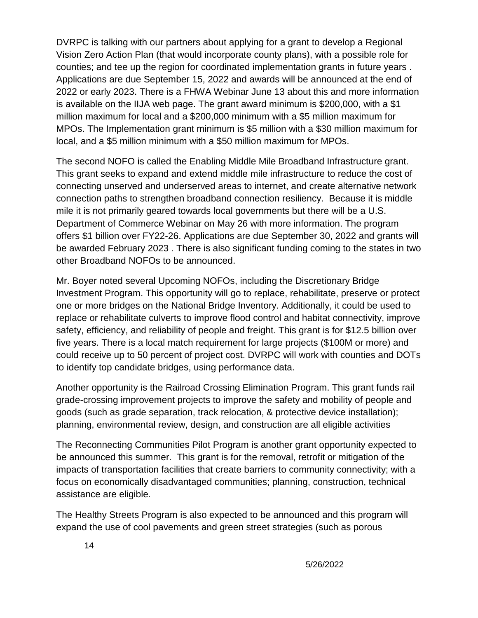DVRPC is talking with our partners about applying for a grant to develop a Regional Vision Zero Action Plan (that would incorporate county plans), with a possible role for counties; and tee up the region for coordinated implementation grants in future years . Applications are due September 15, 2022 and awards will be announced at the end of 2022 or early 2023. There is a FHWA Webinar June 13 about this and more information is available on the IIJA web page. The grant award minimum is \$200,000, with a \$1 million maximum for local and a \$200,000 minimum with a \$5 million maximum for MPOs. The Implementation grant minimum is \$5 million with a \$30 million maximum for local, and a \$5 million minimum with a \$50 million maximum for MPOs.

The second NOFO is called the Enabling Middle Mile Broadband Infrastructure grant. This grant seeks to expand and extend middle mile infrastructure to reduce the cost of connecting unserved and underserved areas to internet, and create alternative network connection paths to strengthen broadband connection resiliency. Because it is middle mile it is not primarily geared towards local governments but there will be a U.S. Department of Commerce Webinar on May 26 with more information. The program offers \$1 billion over FY22-26. Applications are due September 30, 2022 and grants will be awarded February 2023 . There is also significant funding coming to the states in two other Broadband NOFOs to be announced.

Mr. Boyer noted several Upcoming NOFOs, including the Discretionary Bridge Investment Program. This opportunity will go to replace, rehabilitate, preserve or protect one or more bridges on the National Bridge Inventory. Additionally, it could be used to replace or rehabilitate culverts to improve flood control and habitat connectivity, improve safety, efficiency, and reliability of people and freight. This grant is for \$12.5 billion over five years. There is a local match requirement for large projects (\$100M or more) and could receive up to 50 percent of project cost. DVRPC will work with counties and DOTs to identify top candidate bridges, using performance data.

Another opportunity is the Railroad Crossing Elimination Program. This grant funds rail grade-crossing improvement projects to improve the safety and mobility of people and goods (such as grade separation, track relocation, & protective device installation); planning, environmental review, design, and construction are all eligible activities

The Reconnecting Communities Pilot Program is another grant opportunity expected to be announced this summer. This grant is for the removal, retrofit or mitigation of the impacts of transportation facilities that create barriers to community connectivity; with a focus on economically disadvantaged communities; planning, construction, technical assistance are eligible.

The Healthy Streets Program is also expected to be announced and this program will expand the use of cool pavements and green street strategies (such as porous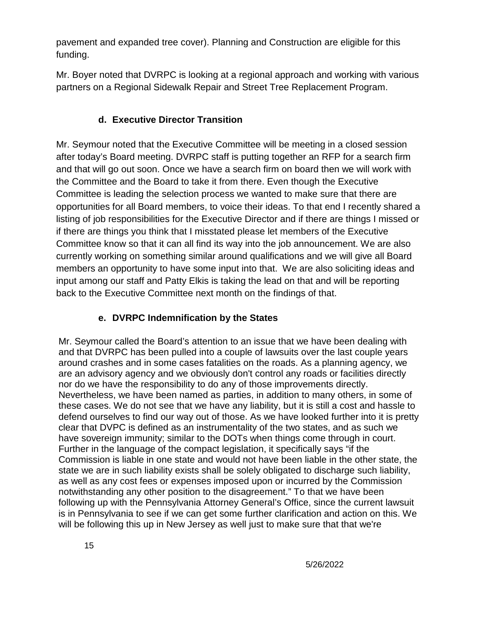pavement and expanded tree cover). Planning and Construction are eligible for this funding.

Mr. Boyer noted that DVRPC is looking at a regional approach and working with various partners on a Regional Sidewalk Repair and Street Tree Replacement Program.

## **d. Executive Director Transition**

Mr. Seymour noted that the Executive Committee will be meeting in a closed session after today's Board meeting. DVRPC staff is putting together an RFP for a search firm and that will go out soon. Once we have a search firm on board then we will work with the Committee and the Board to take it from there. Even though the Executive Committee is leading the selection process we wanted to make sure that there are opportunities for all Board members, to voice their ideas. To that end I recently shared a listing of job responsibilities for the Executive Director and if there are things I missed or if there are things you think that I misstated please let members of the Executive Committee know so that it can all find its way into the job announcement. We are also currently working on something similar around qualifications and we will give all Board members an opportunity to have some input into that. We are also soliciting ideas and input among our staff and Patty Elkis is taking the lead on that and will be reporting back to the Executive Committee next month on the findings of that.

## **e. DVRPC Indemnification by the States**

Mr. Seymour called the Board's attention to an issue that we have been dealing with and that DVRPC has been pulled into a couple of lawsuits over the last couple years around crashes and in some cases fatalities on the roads. As a planning agency, we are an advisory agency and we obviously don't control any roads or facilities directly nor do we have the responsibility to do any of those improvements directly. Nevertheless, we have been named as parties, in addition to many others, in some of these cases. We do not see that we have any liability, but it is still a cost and hassle to defend ourselves to find our way out of those. As we have looked further into it is pretty clear that DVPC is defined as an instrumentality of the two states, and as such we have sovereign immunity; similar to the DOTs when things come through in court. Further in the language of the compact legislation, it specifically says "if the Commission is liable in one state and would not have been liable in the other state, the state we are in such liability exists shall be solely obligated to discharge such liability, as well as any cost fees or expenses imposed upon or incurred by the Commission notwithstanding any other position to the disagreement." To that we have been following up with the Pennsylvania Attorney General's Office, since the current lawsuit is in Pennsylvania to see if we can get some further clarification and action on this. We will be following this up in New Jersey as well just to make sure that that we're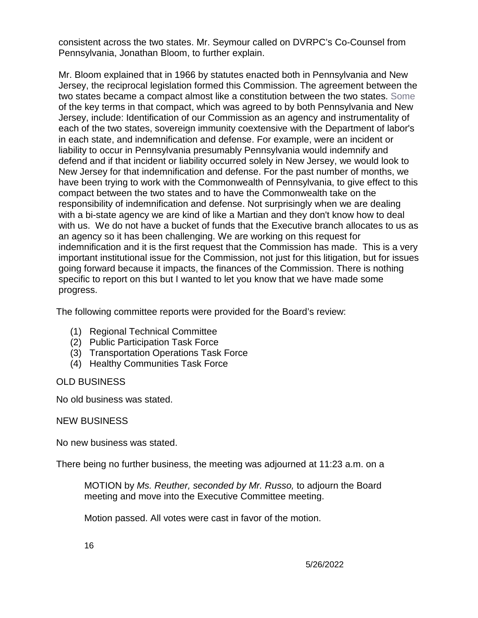consistent across the two states. Mr. Seymour called on DVRPC's Co-Counsel from Pennsylvania, Jonathan Bloom, to further explain.

Mr. Bloom explained that in 1966 by statutes enacted both in Pennsylvania and New Jersey, the reciprocal legislation formed this Commission. The agreement between the two states became a compact almost like a constitution between the two states. Some of the key terms in that compact, which was agreed to by both Pennsylvania and New Jersey, include: Identification of our Commission as an agency and instrumentality of each of the two states, sovereign immunity coextensive with the Department of labor's in each state, and indemnification and defense. For example, were an incident or liability to occur in Pennsylvania presumably Pennsylvania would indemnify and defend and if that incident or liability occurred solely in New Jersey, we would look to New Jersey for that indemnification and defense. For the past number of months, we have been trying to work with the Commonwealth of Pennsylvania, to give effect to this compact between the two states and to have the Commonwealth take on the responsibility of indemnification and defense. Not surprisingly when we are dealing with a bi-state agency we are kind of like a Martian and they don't know how to deal with us. We do not have a bucket of funds that the Executive branch allocates to us as an agency so it has been challenging. We are working on this request for indemnification and it is the first request that the Commission has made. This is a very important institutional issue for the Commission, not just for this litigation, but for issues going forward because it impacts, the finances of the Commission. There is nothing specific to report on this but I wanted to let you know that we have made some progress.

The following committee reports were provided for the Board's review:

- (1) Regional Technical Committee
- (2) Public Participation Task Force
- (3) Transportation Operations Task Force
- (4) Healthy Communities Task Force

## OLD BUSINESS

No old business was stated.

## NEW BUSINESS

No new business was stated.

There being no further business, the meeting was adjourned at 11:23 a.m. on a

MOTION by *Ms. Reuther, seconded by Mr. Russo,* to adjourn the Board meeting and move into the Executive Committee meeting.

Motion passed. All votes were cast in favor of the motion.

16